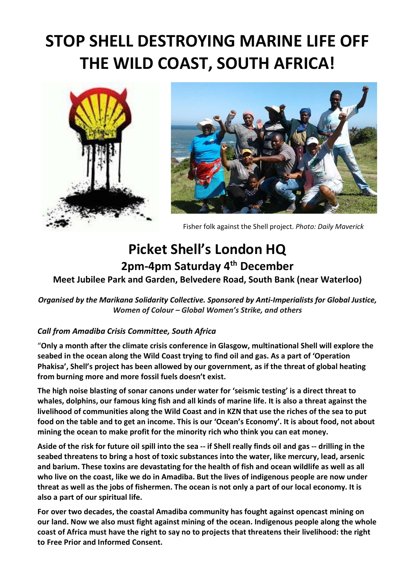# STOP SHELL DESTROYING MARINE LIFE OFF THE WILD COAST, SOUTH AFRICA!





Fisher folk against the Shell project. Photo: Daily Maverick

# Picket Shell's London HQ 2pm-4pm Saturday 4<sup>th</sup> December

# Meet Jubilee Park and Garden, Belvedere Road, South Bank (near Waterloo)

Organised by the Marikana Solidarity Collective. Sponsored by Anti-Imperialists for Global Justice, Women of Colour – Global Women's Strike, and others

## Call from Amadiba Crisis Committee, South Africa

"Only a month after the climate crisis conference in Glasgow, multinational Shell will explore the seabed in the ocean along the Wild Coast trying to find oil and gas. As a part of 'Operation Phakisa', Shell's project has been allowed by our government, as if the threat of global heating from burning more and more fossil fuels doesn't exist.

The high noise blasting of sonar canons under water for 'seismic testing' is a direct threat to whales, dolphins, our famous king fish and all kinds of marine life. It is also a threat against the livelihood of communities along the Wild Coast and in KZN that use the riches of the sea to put food on the table and to get an income. This is our 'Ocean's Economy'. It is about food, not about mining the ocean to make profit for the minority rich who think you can eat money.

Aside of the risk for future oil spill into the sea -- if Shell really finds oil and gas -- drilling in the seabed threatens to bring a host of toxic substances into the water, like mercury, lead, arsenic and barium. These toxins are devastating for the health of fish and ocean wildlife as well as all who live on the coast, like we do in Amadiba. But the lives of indigenous people are now under threat as well as the jobs of fishermen. The ocean is not only a part of our local economy. It is also a part of our spiritual life.

For over two decades, the coastal Amadiba community has fought against opencast mining on our land. Now we also must fight against mining of the ocean. Indigenous people along the whole coast of Africa must have the right to say no to projects that threatens their livelihood: the right to Free Prior and Informed Consent.